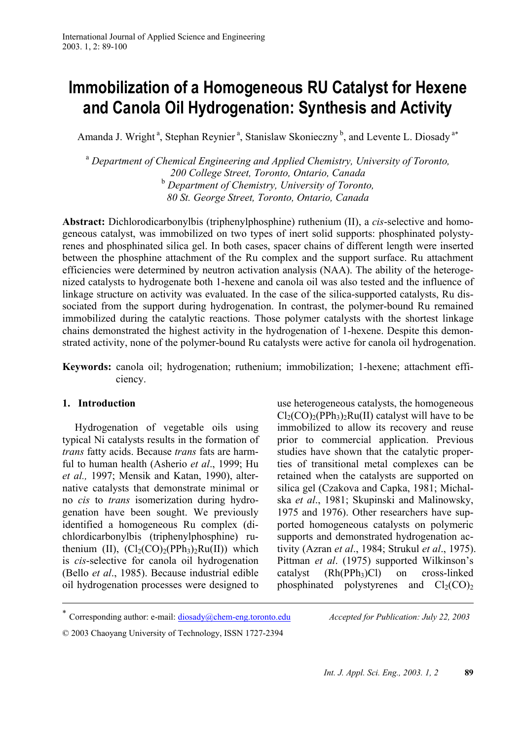# **Immobilization of a Homogeneous RU Catalyst for Hexene and Canola Oil Hydrogenation: Synthesis and Activity**

Amanda J. Wright<sup>a</sup>, Stephan Reynier<sup>a</sup>, Stanislaw Skonieczny<sup>b</sup>, and Levente L. Diosady<sup>a\*</sup>

<sup>a</sup> *Department of Chemical Engineering and Applied Chemistry, University of Toronto, 200 College Street, Toronto, Ontario, Canada*  <sup>b</sup> *Department of Chemistry, University of Toronto, 80 St. George Street, Toronto, Ontario, Canada* 

**Abstract:** Dichlorodicarbonylbis (triphenylphosphine) ruthenium (II), a *cis*-selective and homogeneous catalyst, was immobilized on two types of inert solid supports: phosphinated polystyrenes and phosphinated silica gel. In both cases, spacer chains of different length were inserted between the phosphine attachment of the Ru complex and the support surface. Ru attachment efficiencies were determined by neutron activation analysis (NAA). The ability of the heterogenized catalysts to hydrogenate both 1-hexene and canola oil was also tested and the influence of linkage structure on activity was evaluated. In the case of the silica-supported catalysts, Ru dissociated from the support during hydrogenation. In contrast, the polymer-bound Ru remained immobilized during the catalytic reactions. Those polymer catalysts with the shortest linkage chains demonstrated the highest activity in the hydrogenation of 1-hexene. Despite this demonstrated activity, none of the polymer-bound Ru catalysts were active for canola oil hydrogenation.

**Keywords:** canola oil; hydrogenation; ruthenium; immobilization; 1-hexene; attachment efficiency.

# **1. Introduction**

 $\overline{a}$ 

Hydrogenation of vegetable oils using typical Ni catalysts results in the formation of *trans* fatty acids. Because *trans* fats are harmful to human health (Asherio *et al*., 1999; Hu *et al.,* 1997; Mensik and Katan, 1990), alternative catalysts that demonstrate minimal or no *cis* to *trans* isomerization during hydrogenation have been sought. We previously identified a homogeneous Ru complex (dichlordicarbonylbis (triphenylphosphine) ruthenium (II),  $(Cl_2(CO)_2(PPh_3)_2Ru(II))$  which is *cis*-selective for canola oil hydrogenation (Bello *et al*., 1985). Because industrial edible oil hydrogenation processes were designed to

use heterogeneous catalysts, the homogeneous  $Cl_2(CO)_2(PPh_3)_2Ru(II)$  catalyst will have to be immobilized to allow its recovery and reuse prior to commercial application. Previous studies have shown that the catalytic properties of transitional metal complexes can be retained when the catalysts are supported on silica gel (Czakova and Capka, 1981; Michalska *et al*., 1981; Skupinski and Malinowsky, 1975 and 1976). Other researchers have supported homogeneous catalysts on polymeric supports and demonstrated hydrogenation activity (Azran *et al*., 1984; Strukul *et al*., 1975). Pittman *et al*. (1975) supported Wilkinson's catalyst  $(Rh(PPh<sub>3</sub>)Cl)$  on cross-linked phosphinated polystyrenes and  $Cl<sub>2</sub>(CO)<sub>2</sub>$ 

<sup>∗</sup> Corresponding author: e-mail: diosady@chem-eng.toronto.edu *Accepted for Publication: July 22, 2003*

<sup>© 2003</sup> Chaoyang University of Technology, ISSN 1727-2394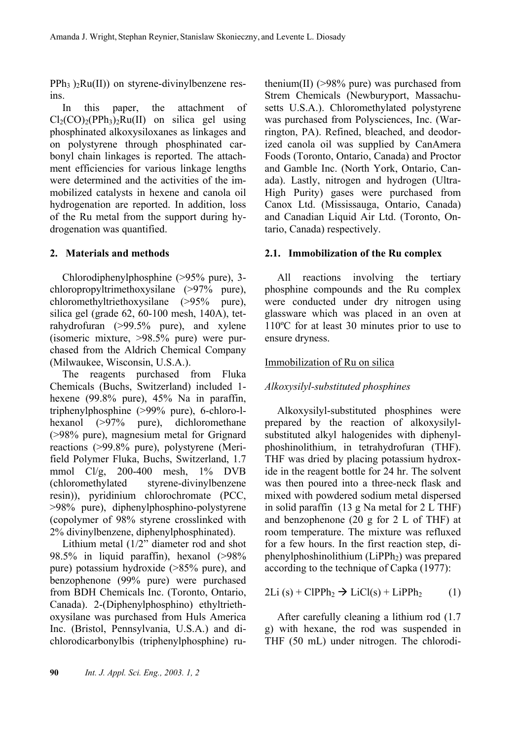$PPh_3$ )<sub>2</sub>Ru(II)) on styrene-divinylbenzene resins.

In this paper, the attachment of  $Cl<sub>2</sub>(CO)<sub>2</sub>(PPh<sub>3</sub>)<sub>2</sub>Ru(II)$  on silica gel using phosphinated alkoxysiloxanes as linkages and on polystyrene through phosphinated carbonyl chain linkages is reported. The attachment efficiencies for various linkage lengths were determined and the activities of the immobilized catalysts in hexene and canola oil hydrogenation are reported. In addition, loss of the Ru metal from the support during hydrogenation was quantified.

# **2. Materials and methods**

Chlorodiphenylphosphine (>95% pure), 3 chloropropyltrimethoxysilane (>97% pure), chloromethyltriethoxysilane (>95% pure), silica gel (grade 62, 60-100 mesh, 140A), tetrahydrofuran (>99.5% pure), and xylene (isomeric mixture, >98.5% pure) were purchased from the Aldrich Chemical Company (Milwaukee, Wisconsin, U.S.A.).

The reagents purchased from Fluka Chemicals (Buchs, Switzerland) included 1 hexene (99.8% pure), 45% Na in paraffin, triphenylphosphine (>99% pure), 6-chloro-lhexanol (>97% pure), dichloromethane (>98% pure), magnesium metal for Grignard reactions (>99.8% pure), polystyrene (Merifield Polymer Fluka, Buchs, Switzerland, 1.7 mmol Cl/g, 200-400 mesh, 1% DVB (chloromethylated styrene-divinylbenzene resin)), pyridinium chlorochromate (PCC, >98% pure), diphenylphosphino-polystyrene (copolymer of 98% styrene crosslinked with 2% divinylbenzene, diphenylphosphinated).

Lithium metal (1/2" diameter rod and shot 98.5% in liquid paraffin), hexanol (>98% pure) potassium hydroxide (>85% pure), and benzophenone (99% pure) were purchased from BDH Chemicals Inc. (Toronto, Ontario, Canada). 2-(Diphenylphosphino) ethyltriethoxysilane was purchased from Huls America Inc. (Bristol, Pennsylvania, U.S.A.) and dichlorodicarbonylbis (triphenylphosphine) ru-

thenium(II)  $(>\!\!98\!\%$  pure) was purchased from Strem Chemicals (Newburyport, Massachusetts U.S.A.). Chloromethylated polystyrene was purchased from Polysciences, Inc. (Warrington, PA). Refined, bleached, and deodorized canola oil was supplied by CanAmera Foods (Toronto, Ontario, Canada) and Proctor and Gamble Inc. (North York, Ontario, Canada). Lastly, nitrogen and hydrogen (Ultra-High Purity) gases were purchased from Canox Ltd. (Mississauga, Ontario, Canada) and Canadian Liquid Air Ltd. (Toronto, Ontario, Canada) respectively.

# **2.1. Immobilization of the Ru complex**

All reactions involving the tertiary phosphine compounds and the Ru complex were conducted under dry nitrogen using glassware which was placed in an oven at 110ºC for at least 30 minutes prior to use to ensure dryness.

# Immobilization of Ru on silica

# *Alkoxysilyl-substituted phosphines*

Alkoxysilyl-substituted phosphines were prepared by the reaction of alkoxysilylsubstituted alkyl halogenides with diphenylphoshinolithium, in tetrahydrofuran (THF). THF was dried by placing potassium hydroxide in the reagent bottle for 24 hr. The solvent was then poured into a three-neck flask and mixed with powdered sodium metal dispersed in solid paraffin (13 g Na metal for 2 L THF) and benzophenone (20 g for 2 L of THF) at room temperature. The mixture was refluxed for a few hours. In the first reaction step, diphenylphoshinolithium (LiPPh<sub>2</sub>) was prepared according to the technique of Capka (1977):

$$
2Li(s) + ClPPh2 \rightarrow LiCl(s) + LiPPh2 (1)
$$

After carefully cleaning a lithium rod (1.7 g) with hexane, the rod was suspended in THF (50 mL) under nitrogen. The chlorodi-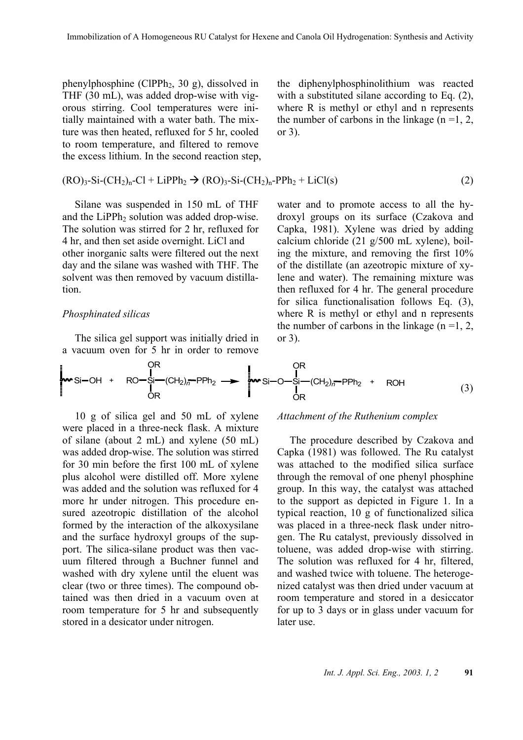phenylphosphine (ClPPh2, 30 g), dissolved in THF (30 mL), was added drop-wise with vigorous stirring. Cool temperatures were initially maintained with a water bath. The mixture was then heated, refluxed for 5 hr, cooled to room temperature, and filtered to remove the excess lithium. In the second reaction step,

the diphenylphosphinolithium was reacted with a substituted silane according to Eq. (2), where R is methyl or ethyl and n represents the number of carbons in the linkage  $(n=1, 2, ...)$ or 3).

$$
(RO)3-Si-(CH2)n-Cl + LipPh2 \rightarrow (RO)3-Si-(CH2)n-PPh2 + LiCl(s)
$$
\n(2)

Silane was suspended in 150 mL of THF and the LiPPh<sub>2</sub> solution was added drop-wise. The solution was stirred for 2 hr, refluxed for 4 hr, and then set aside overnight. LiCl and other inorganic salts were filtered out the next day and the silane was washed with THF. The solvent was then removed by vacuum distillation.

#### *Phosphinated silicas*

The silica gel support was initially dried in a vacuum oven for 5 hr in order to remove water and to promote access to all the hydroxyl groups on its surface (Czakova and Capka, 1981). Xylene was dried by adding calcium chloride (21 g/500 mL xylene), boiling the mixture, and removing the first 10% of the distillate (an azeotropic mixture of xylene and water). The remaining mixture was then refluxed for 4 hr. The general procedure for silica functionalisation follows Eq. (3), where R is methyl or ethyl and n represents the number of carbons in the linkage  $(n = 1, 2, ...)$ or 3).

Si OH + RO Si OR OR (CH2)*<sup>n</sup>* PPh2 Si O Si OR OR (CH2)*<sup>n</sup>* PPh2 <sup>+</sup> ROH (3)

10 g of silica gel and 50 mL of xylene were placed in a three-neck flask. A mixture of silane (about 2 mL) and xylene (50 mL) was added drop-wise. The solution was stirred for 30 min before the first 100 mL of xylene plus alcohol were distilled off. More xylene was added and the solution was refluxed for 4 more hr under nitrogen. This procedure ensured azeotropic distillation of the alcohol formed by the interaction of the alkoxysilane and the surface hydroxyl groups of the support. The silica-silane product was then vacuum filtered through a Buchner funnel and washed with dry xylene until the eluent was clear (two or three times). The compound obtained was then dried in a vacuum oven at room temperature for 5 hr and subsequently stored in a desicator under nitrogen.

#### *Attachment of the Ruthenium complex*

The procedure described by Czakova and Capka (1981) was followed. The Ru catalyst was attached to the modified silica surface through the removal of one phenyl phosphine group. In this way, the catalyst was attached to the support as depicted in Figure 1. In a typical reaction, 10 g of functionalized silica was placed in a three-neck flask under nitrogen. The Ru catalyst, previously dissolved in toluene, was added drop-wise with stirring. The solution was refluxed for 4 hr, filtered, and washed twice with toluene. The heterogenized catalyst was then dried under vacuum at room temperature and stored in a desiccator for up to 3 days or in glass under vacuum for later use.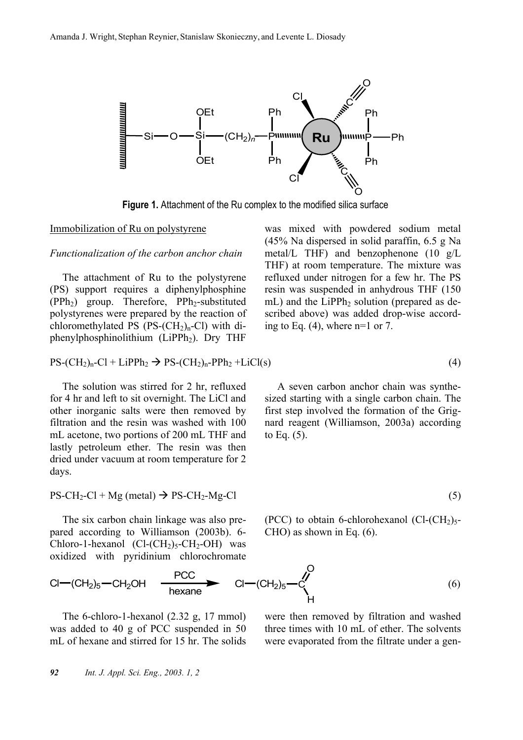

**Figure 1.** Attachment of the Ru complex to the modified silica surface

#### Immobilization of Ru on polystyrene

#### *Functionalization of the carbon anchor chain*

The attachment of Ru to the polystyrene (PS) support requires a diphenylphosphine  $(PPh<sub>2</sub>)$  group. Therefore,  $PPh<sub>2</sub>$ -substituted polystyrenes were prepared by the reaction of chloromethylated PS  $(PS-(CH_2)<sub>n</sub>-Cl)$  with diphenylphosphinolithium (LiPPh<sub>2</sub>). Dry THF

 $PS-(CH<sub>2</sub>)<sub>n</sub>-Cl + LipPh<sub>2</sub> \rightarrow PS-(CH<sub>2</sub>)<sub>n</sub>-PPh<sub>2</sub> + LiCl(s)$  (4)

The solution was stirred for 2 hr, refluxed for 4 hr and left to sit overnight. The LiCl and other inorganic salts were then removed by filtration and the resin was washed with 100 mL acetone, two portions of 200 mL THF and lastly petroleum ether. The resin was then dried under vacuum at room temperature for 2 days.

 $PS-CH_2-Cl + Mg (metal) \rightarrow PS-CH_2-Mg-Cl$  (5)

The six carbon chain linkage was also prepared according to Williamson (2003b). 6- Chloro-1-hexanol (Cl- $(CH_2)_{5}$ -CH<sub>2</sub>-OH) was oxidized with pyridinium chlorochromate (45% Na dispersed in solid paraffin, 6.5 g Na metal/L THF) and benzophenone (10 g/L THF) at room temperature. The mixture was refluxed under nitrogen for a few hr. The PS resin was suspended in anhydrous THF (150 mL) and the LiPPh<sub>2</sub> solution (prepared as described above) was added drop-wise according to Eq.  $(4)$ , where n=1 or 7.

was mixed with powdered sodium metal

A seven carbon anchor chain was synthesized starting with a single carbon chain. The first step involved the formation of the Grignard reagent (Williamson, 2003a) according to Eq.  $(5)$ .

(PCC) to obtain 6-chlorohexanol (Cl- $\rm (CH_2)_{5}$ -CHO) as shown in Eq. (6).

$$
Cl - (CH2)5 - CH2OH \n\begin{array}{ccc}\n\text{PCC} & & & \text{Cl} - (CH2)5 - C \\
\text{hexane} & & H\n\end{array}
$$
\n(6)

The 6-chloro-1-hexanol (2.32 g, 17 mmol) was added to 40 g of PCC suspended in 50 mL of hexane and stirred for 15 hr. The solids were then removed by filtration and washed three times with 10 mL of ether. The solvents were evaporated from the filtrate under a gen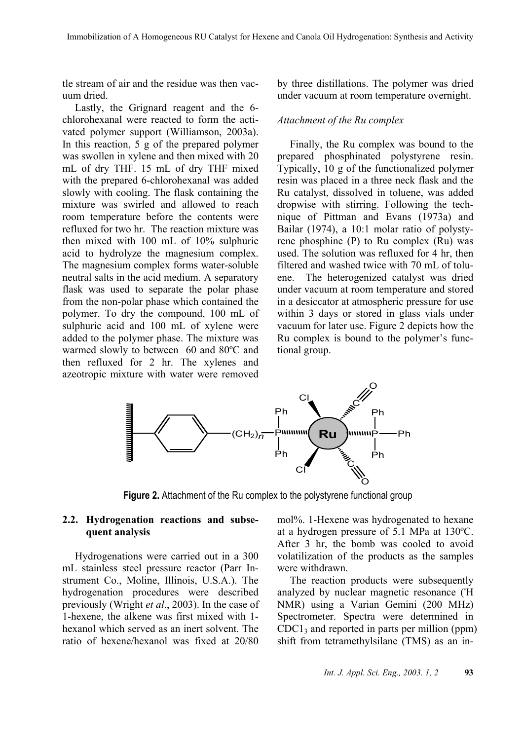tle stream of air and the residue was then vacuum dried.

Lastly, the Grignard reagent and the 6 chlorohexanal were reacted to form the activated polymer support (Williamson, 2003a). In this reaction, 5 g of the prepared polymer was swollen in xylene and then mixed with 20 mL of dry THF. 15 mL of dry THF mixed with the prepared 6-chlorohexanal was added slowly with cooling. The flask containing the mixture was swirled and allowed to reach room temperature before the contents were refluxed for two hr. The reaction mixture was then mixed with 100 mL of 10% sulphuric acid to hydrolyze the magnesium complex. The magnesium complex forms water-soluble neutral salts in the acid medium. A separatory flask was used to separate the polar phase from the non-polar phase which contained the polymer. To dry the compound, 100 mL of sulphuric acid and 100 mL of xylene were added to the polymer phase. The mixture was warmed slowly to between 60 and 80ºC and then refluxed for 2 hr. The xylenes and azeotropic mixture with water were removed by three distillations. The polymer was dried under vacuum at room temperature overnight.

#### *Attachment of the Ru complex*

Finally, the Ru complex was bound to the prepared phosphinated polystyrene resin. Typically, 10 g of the functionalized polymer resin was placed in a three neck flask and the Ru catalyst, dissolved in toluene, was added dropwise with stirring. Following the technique of Pittman and Evans (1973a) and Bailar (1974), a 10:1 molar ratio of polystyrene phosphine (P) to Ru complex (Ru) was used. The solution was refluxed for 4 hr, then filtered and washed twice with 70 mL of toluene. The heterogenized catalyst was dried under vacuum at room temperature and stored in a desiccator at atmospheric pressure for use within 3 days or stored in glass vials under vacuum for later use. Figure 2 depicts how the Ru complex is bound to the polymer's functional group.



**Figure 2.** Attachment of the Ru complex to the polystyrene functional group

## **2.2. Hydrogenation reactions and subsequent analysis**

Hydrogenations were carried out in a 300 mL stainless steel pressure reactor (Parr Instrument Co., Moline, Illinois, U.S.A.). The hydrogenation procedures were described previously (Wright *et al*., 2003). In the case of 1-hexene, the alkene was first mixed with 1 hexanol which served as an inert solvent. The ratio of hexene/hexanol was fixed at 20/80 mol%. 1-Hexene was hydrogenated to hexane at a hydrogen pressure of 5.1 MPa at 130ºC. After 3 hr, the bomb was cooled to avoid volatilization of the products as the samples were withdrawn.

The reaction products were subsequently analyzed by nuclear magnetic resonance ('H NMR) using a Varian Gemini (200 MHz) Spectrometer. Spectra were determined in  $CDC1<sub>3</sub>$  and reported in parts per million (ppm) shift from tetramethylsilane (TMS) as an in-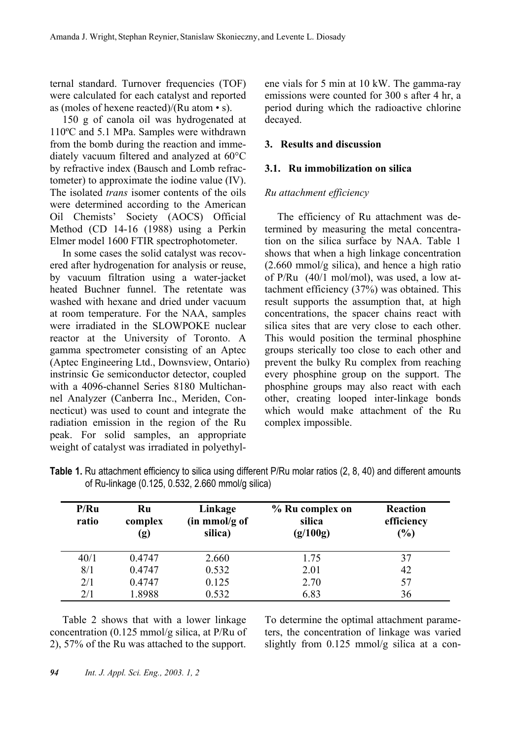ternal standard. Turnover frequencies (TOF) were calculated for each catalyst and reported as (moles of hexene reacted)/(Ru atom • s).

150 g of canola oil was hydrogenated at 110ºC and 5.1 MPa. Samples were withdrawn from the bomb during the reaction and immediately vacuum filtered and analyzed at 60°C by refractive index (Bausch and Lomb refractometer) to approximate the iodine value (IV). The isolated *trans* isomer contents of the oils were determined according to the American Oil Chemists' Society (AOCS) Official Method (CD 14-16 (1988) using a Perkin Elmer model 1600 FTIR spectrophotometer.

In some cases the solid catalyst was recovered after hydrogenation for analysis or reuse, by vacuum filtration using a water-jacket heated Buchner funnel. The retentate was washed with hexane and dried under vacuum at room temperature. For the NAA, samples were irradiated in the SLOWPOKE nuclear reactor at the University of Toronto. A gamma spectrometer consisting of an Aptec (Aptec Engineering Ltd., Downsview, Ontario) instrinsic Ge semiconductor detector, coupled with a 4096-channel Series 8180 Multichannel Analyzer (Canberra Inc., Meriden, Connecticut) was used to count and integrate the radiation emission in the region of the Ru peak. For solid samples, an appropriate weight of catalyst was irradiated in polyethylene vials for 5 min at 10 kW. The gamma-ray emissions were counted for 300 s after 4 hr, a period during which the radioactive chlorine decayed.

# **3. Results and discussion**

## **3.1. Ru immobilization on silica**

# *Ru attachment efficiency*

The efficiency of Ru attachment was determined by measuring the metal concentration on the silica surface by NAA. Table 1 shows that when a high linkage concentration (2.660 mmol/g silica), and hence a high ratio of P/Ru (40/1 mol/mol), was used, a low attachment efficiency (37%) was obtained. This result supports the assumption that, at high concentrations, the spacer chains react with silica sites that are very close to each other. This would position the terminal phosphine groups sterically too close to each other and prevent the bulky Ru complex from reaching every phosphine group on the support. The phosphine groups may also react with each other, creating looped inter-linkage bonds which would make attachment of the Ru complex impossible.

| P/Ru<br>ratio | Ru<br>complex<br>(g) | Linkage<br>$(in \;mmol/g \;of)$<br>silica) | % Ru complex on<br>silica<br>(g/100g) | <b>Reaction</b><br>efficiency<br>(%) |
|---------------|----------------------|--------------------------------------------|---------------------------------------|--------------------------------------|
| 40/1          | 0.4747               | 2.660                                      | 1.75                                  | 37                                   |
| 8/1           | 0.4747               | 0.532                                      | 2.01                                  | 42                                   |
| 2/1           | 0.4747               | 0.125                                      | 2.70                                  | 57                                   |
| 2/1           | 1.8988               | 0.532                                      | 6.83                                  | 36                                   |

| Table 1. Ru attachment efficiency to silica using different P/Ru molar ratios (2, 8, 40) and different amounts |  |  |  |  |
|----------------------------------------------------------------------------------------------------------------|--|--|--|--|
| of Ru-linkage (0.125, 0.532, 2.660 mmol/g silica)                                                              |  |  |  |  |

Table 2 shows that with a lower linkage concentration (0.125 mmol/g silica, at P/Ru of 2), 57% of the Ru was attached to the support.

To determine the optimal attachment parameters, the concentration of linkage was varied slightly from 0.125 mmol/g silica at a con-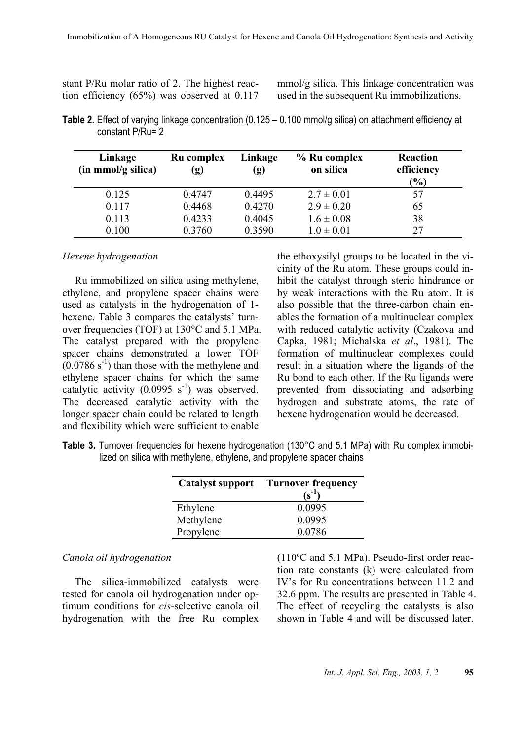| stant P/Ru molar ratio of 2. The highest reac- |
|------------------------------------------------|
| tion efficiency $(65%)$ was observed at 0.117  |

mmol/g silica. This linkage concentration was used in the subsequent Ru immobilizations.

**Table 2.** Effect of varying linkage concentration (0.125 – 0.100 mmol/g silica) on attachment efficiency at constant P/Ru= 2

| Linkage<br>(in mmol/g silica) | Ru complex<br>$\left( \mathbf{g}\right)$ | Linkage<br>(g) | $%$ Ru complex<br>on silica | Reaction<br>efficiency<br>$($ %) |
|-------------------------------|------------------------------------------|----------------|-----------------------------|----------------------------------|
| 0.125                         | 0.4747                                   | 0.4495         | $2.7 \pm 0.01$              | 57                               |
| 0.117                         | 0.4468                                   | 0.4270         | $2.9 \pm 0.20$              | 65                               |
| 0.113                         | 0.4233                                   | 0.4045         | $1.6 \pm 0.08$              | 38                               |
| 0.100                         | 0.3760                                   | 0.3590         | $1.0 \pm 0.01$              | 27                               |

#### *Hexene hydrogenation*

Ru immobilized on silica using methylene, ethylene, and propylene spacer chains were used as catalysts in the hydrogenation of 1 hexene. Table 3 compares the catalysts' turnover frequencies (TOF) at 130°C and 5.1 MPa. The catalyst prepared with the propylene spacer chains demonstrated a lower TOF  $(0.0786 \text{ s}^{-1})$  than those with the methylene and ethylene spacer chains for which the same catalytic activity  $(0.0995 \text{ s}^{-1})$  was observed. The decreased catalytic activity with the longer spacer chain could be related to length and flexibility which were sufficient to enable

the ethoxysilyl groups to be located in the vicinity of the Ru atom. These groups could inhibit the catalyst through steric hindrance or by weak interactions with the Ru atom. It is also possible that the three-carbon chain enables the formation of a multinuclear complex with reduced catalytic activity (Czakova and Capka, 1981; Michalska *et al*., 1981). The formation of multinuclear complexes could result in a situation where the ligands of the Ru bond to each other. If the Ru ligands were prevented from dissociating and adsorbing hydrogen and substrate atoms, the rate of hexene hydrogenation would be decreased.

**Table 3.** Turnover frequencies for hexene hydrogenation (130°C and 5.1 MPa) with Ru complex immobilized on silica with methylene, ethylene, and propylene spacer chains

| <b>Catalyst support</b> | <b>Turnover frequency</b><br>(s <sup>-1</sup> |
|-------------------------|-----------------------------------------------|
| Ethylene                | 0.0995                                        |
| Methylene               | 0.0995                                        |
| Propylene               | 0.0786                                        |

#### *Canola oil hydrogenation*

The silica-immobilized catalysts were tested for canola oil hydrogenation under optimum conditions for *cis*-selective canola oil hydrogenation with the free Ru complex (110ºC and 5.1 MPa). Pseudo-first order reaction rate constants (k) were calculated from IV's for Ru concentrations between 11.2 and 32.6 ppm. The results are presented in Table 4. The effect of recycling the catalysts is also shown in Table 4 and will be discussed later.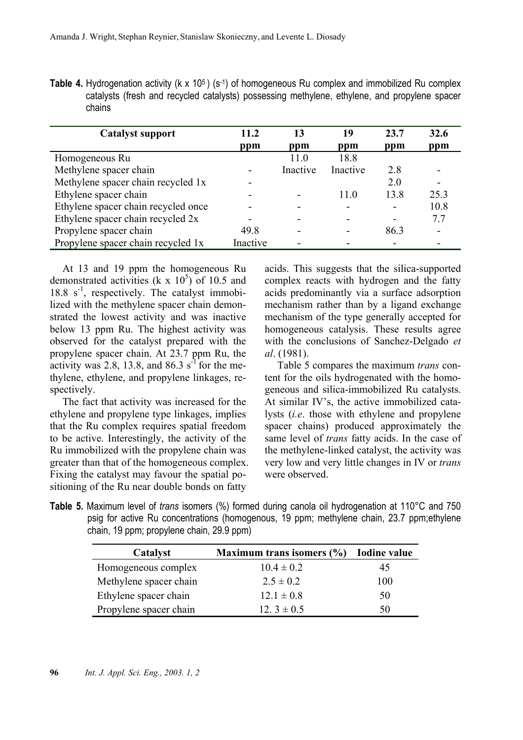**Table 4.** Hydrogenation activity (k x 10<sup>5</sup>) (s<sup>-1</sup>) of homogeneous Ru complex and immobilized Ru complex catalysts (fresh and recycled catalysts) possessing methylene, ethylene, and propylene spacer chains

| <b>Catalyst support</b>             | 11.2     | 13       | 19       | 23.7                     | 32.6                     |
|-------------------------------------|----------|----------|----------|--------------------------|--------------------------|
|                                     | ppm      | ppm      | ppm      | ppm                      | ppm                      |
| Homogeneous Ru                      |          | 11.0     | 18.8     |                          |                          |
| Methylene spacer chain              |          | Inactive | Inactive | 2.8                      |                          |
| Methylene spacer chain recycled 1x  |          |          |          | 2.0                      | $\overline{\phantom{a}}$ |
| Ethylene spacer chain               |          |          | 11.0     | 13.8                     | 25.3                     |
| Ethylene spacer chain recycled once |          |          |          | $\overline{\phantom{0}}$ | 10.8                     |
| Ethylene spacer chain recycled 2x   |          |          |          | $\overline{\phantom{a}}$ | 7.7                      |
| Propylene spacer chain              | 49.8     |          |          | 86.3                     |                          |
| Propylene spacer chain recycled 1x  | Inactive |          |          |                          | $\overline{\phantom{0}}$ |

At 13 and 19 ppm the homogeneous Ru demonstrated activities (k x  $10^5$ ) of 10.5 and  $18.8 \text{ s}^{-1}$ , respectively. The catalyst immobilized with the methylene spacer chain demonstrated the lowest activity and was inactive below 13 ppm Ru. The highest activity was observed for the catalyst prepared with the propylene spacer chain. At 23.7 ppm Ru, the activity was 2.8, 13.8, and 86.3  $s^{-1}$  for the methylene, ethylene, and propylene linkages, respectively.

The fact that activity was increased for the ethylene and propylene type linkages, implies that the Ru complex requires spatial freedom to be active. Interestingly, the activity of the Ru immobilized with the propylene chain was greater than that of the homogeneous complex. Fixing the catalyst may favour the spatial positioning of the Ru near double bonds on fatty

acids. This suggests that the silica-supported complex reacts with hydrogen and the fatty acids predominantly via a surface adsorption mechanism rather than by a ligand exchange mechanism of the type generally accepted for homogeneous catalysis. These results agree with the conclusions of Sanchez-Delgado *et al*. (1981).

Table 5 compares the maximum *trans* content for the oils hydrogenated with the homogeneous and silica-immobilized Ru catalysts. At similar IV's, the active immobilized catalysts (*i.e*. those with ethylene and propylene spacer chains) produced approximately the same level of *trans* fatty acids. In the case of the methylene-linked catalyst, the activity was very low and very little changes in IV or *trans* were observed.

**Table 5.** Maximum level of *trans* isomers (%) formed during canola oil hydrogenation at 110°C and 750 psig for active Ru concentrations (homogenous, 19 ppm; methylene chain, 23.7 ppm;ethylene chain, 19 ppm; propylene chain, 29.9 ppm)

| Catalyst               | Maximum trans isomers $(\% )$ | <b>Iodine value</b> |
|------------------------|-------------------------------|---------------------|
| Homogeneous complex    | $10.4 \pm 0.2$                | 45                  |
| Methylene spacer chain | $2.5 \pm 0.2$                 | 100                 |
| Ethylene spacer chain  | $12.1 \pm 0.8$                | 50                  |
| Propylene spacer chain | 12. $3 \pm 0.5$               | 50                  |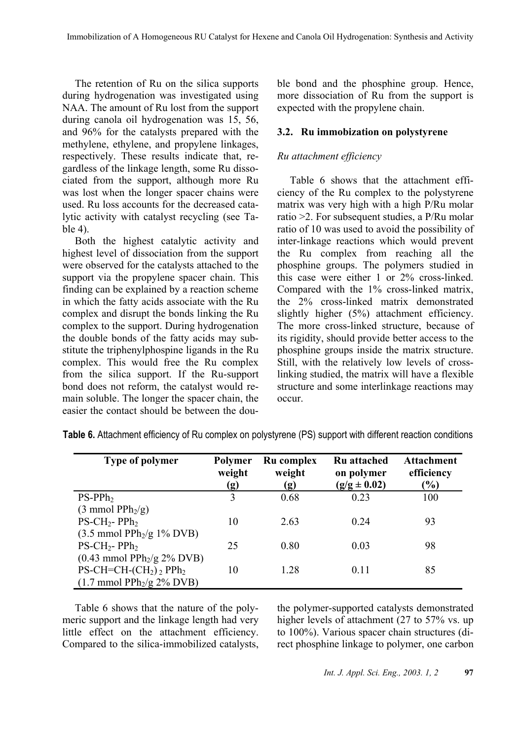The retention of Ru on the silica supports during hydrogenation was investigated using NAA. The amount of Ru lost from the support during canola oil hydrogenation was 15, 56, and 96% for the catalysts prepared with the methylene, ethylene, and propylene linkages, respectively. These results indicate that, regardless of the linkage length, some Ru dissociated from the support, although more Ru was lost when the longer spacer chains were used. Ru loss accounts for the decreased catalytic activity with catalyst recycling (see Table 4).

Both the highest catalytic activity and highest level of dissociation from the support were observed for the catalysts attached to the support via the propylene spacer chain. This finding can be explained by a reaction scheme in which the fatty acids associate with the Ru complex and disrupt the bonds linking the Ru complex to the support. During hydrogenation the double bonds of the fatty acids may substitute the triphenylphospine ligands in the Ru complex. This would free the Ru complex from the silica support. If the Ru-support bond does not reform, the catalyst would remain soluble. The longer the spacer chain, the easier the contact should be between the double bond and the phosphine group. Hence, more dissociation of Ru from the support is expected with the propylene chain.

#### **3.2. Ru immobization on polystyrene**

#### *Ru attachment efficiency*

Table 6 shows that the attachment efficiency of the Ru complex to the polystyrene matrix was very high with a high P/Ru molar ratio >2. For subsequent studies, a P/Ru molar ratio of 10 was used to avoid the possibility of inter-linkage reactions which would prevent the Ru complex from reaching all the phosphine groups. The polymers studied in this case were either 1 or 2% cross-linked. Compared with the 1% cross-linked matrix, the 2% cross-linked matrix demonstrated slightly higher (5%) attachment efficiency. The more cross-linked structure, because of its rigidity, should provide better access to the phosphine groups inside the matrix structure. Still, with the relatively low levels of crosslinking studied, the matrix will have a flexible structure and some interlinkage reactions may occur.

| <b>Type of polymer</b>                               | <b>Polymer</b><br>weight<br>(g) | Ru complex<br>weight<br>(g) | <b>Ru</b> attached<br>on polymer<br>$(g/g \pm 0.02)$ | <b>Attachment</b><br>efficiency<br>(%) |
|------------------------------------------------------|---------------------------------|-----------------------------|------------------------------------------------------|----------------------------------------|
| $PS-PPh2$                                            | 3                               | 0.68                        | 0.23                                                 | 100                                    |
| $(3 \text{ mmol PPh}_2/\text{g})$                    |                                 |                             |                                                      |                                        |
| $PS-CH_2-PPh_2$                                      | 10                              | 2.63                        | 0.24                                                 | 93                                     |
| $(3.5 \text{ mmol PPh}_2/\text{g} 1\% \text{ DVB})$  |                                 |                             |                                                      |                                        |
| $PS-CH_2-PPh_2$                                      | 25                              | 0.80                        | 0.03                                                 | 98                                     |
| $(0.43 \text{ mmol PPh}_2\text{/g} 2\% \text{ DVB})$ |                                 |                             |                                                      |                                        |
| $PS\text{-}CH=\text{-}CH\text{-}(CH_2)_2$ $PPh_2$    | 10                              | 1.28                        | 0.11                                                 | 85                                     |
| $(1.7 \text{ mmol PPh}_2/\text{g} 2\% \text{ DVB})$  |                                 |                             |                                                      |                                        |

**Table 6.** Attachment efficiency of Ru complex on polystyrene (PS) support with different reaction conditions

Table 6 shows that the nature of the polymeric support and the linkage length had very little effect on the attachment efficiency. Compared to the silica-immobilized catalysts,

the polymer-supported catalysts demonstrated higher levels of attachment (27 to 57% vs. up to 100%). Various spacer chain structures (direct phosphine linkage to polymer, one carbon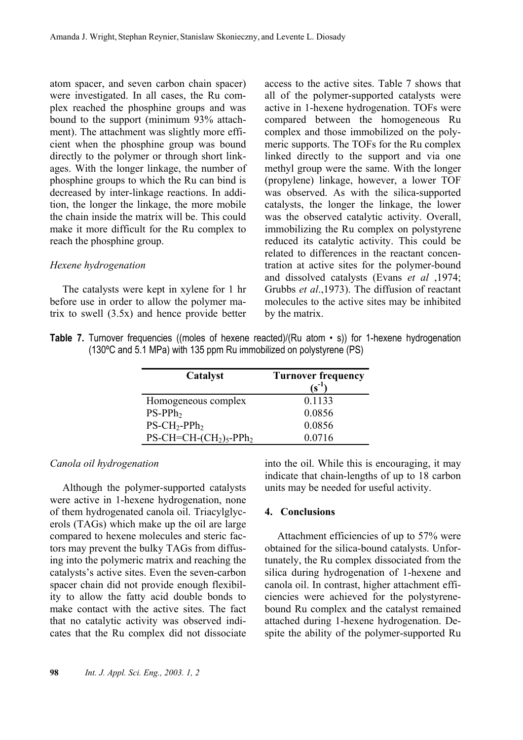atom spacer, and seven carbon chain spacer) were investigated. In all cases, the Ru complex reached the phosphine groups and was bound to the support (minimum 93% attachment). The attachment was slightly more efficient when the phosphine group was bound directly to the polymer or through short linkages. With the longer linkage, the number of phosphine groups to which the Ru can bind is decreased by inter-linkage reactions. In addition, the longer the linkage, the more mobile the chain inside the matrix will be. This could make it more difficult for the Ru complex to reach the phosphine group.

#### *Hexene hydrogenation*

The catalysts were kept in xylene for 1 hr before use in order to allow the polymer matrix to swell (3.5x) and hence provide better access to the active sites. Table 7 shows that all of the polymer-supported catalysts were active in 1-hexene hydrogenation. TOFs were compared between the homogeneous Ru complex and those immobilized on the polymeric supports. The TOFs for the Ru complex linked directly to the support and via one methyl group were the same. With the longer (propylene) linkage, however, a lower TOF was observed. As with the silica-supported catalysts, the longer the linkage, the lower was the observed catalytic activity. Overall, immobilizing the Ru complex on polystyrene reduced its catalytic activity. This could be related to differences in the reactant concentration at active sites for the polymer-bound and dissolved catalysts (Evans *et al* ,1974; Grubbs *et al*.,1973). The diffusion of reactant molecules to the active sites may be inhibited by the matrix.

|  |                                                                               |  | <b>Table 7.</b> Turnover frequencies ((moles of hexene reacted)/(Ru atom $\cdot$ s)) for 1-hexene hydrogenation |
|--|-------------------------------------------------------------------------------|--|-----------------------------------------------------------------------------------------------------------------|
|  | $(130^{\circ}$ C and 5.1 MPa) with 135 ppm Ru immobilized on polystyrene (PS) |  |                                                                                                                 |

| Catalyst                                               | <b>Turnover frequency</b><br>$(s^{-1})$ |
|--------------------------------------------------------|-----------------------------------------|
| Homogeneous complex                                    | 0.1133                                  |
| $PS-PPh2$                                              | 0.0856                                  |
| $PS-CH_2-PPh_2$                                        | 0.0856                                  |
| $PS\text{-}CH=\text{-}CH\text{-}(CH_2)_5\text{-}PPh_2$ | 0.0716                                  |

#### *Canola oil hydrogenation*

Although the polymer-supported catalysts were active in 1-hexene hydrogenation, none of them hydrogenated canola oil. Triacylglycerols (TAGs) which make up the oil are large compared to hexene molecules and steric factors may prevent the bulky TAGs from diffusing into the polymeric matrix and reaching the catalysts's active sites. Even the seven-carbon spacer chain did not provide enough flexibility to allow the fatty acid double bonds to make contact with the active sites. The fact that no catalytic activity was observed indicates that the Ru complex did not dissociate into the oil. While this is encouraging, it may indicate that chain-lengths of up to 18 carbon units may be needed for useful activity.

#### **4. Conclusions**

Attachment efficiencies of up to 57% were obtained for the silica-bound catalysts. Unfortunately, the Ru complex dissociated from the silica during hydrogenation of 1-hexene and canola oil. In contrast, higher attachment efficiencies were achieved for the polystyrenebound Ru complex and the catalyst remained attached during 1-hexene hydrogenation. Despite the ability of the polymer-supported Ru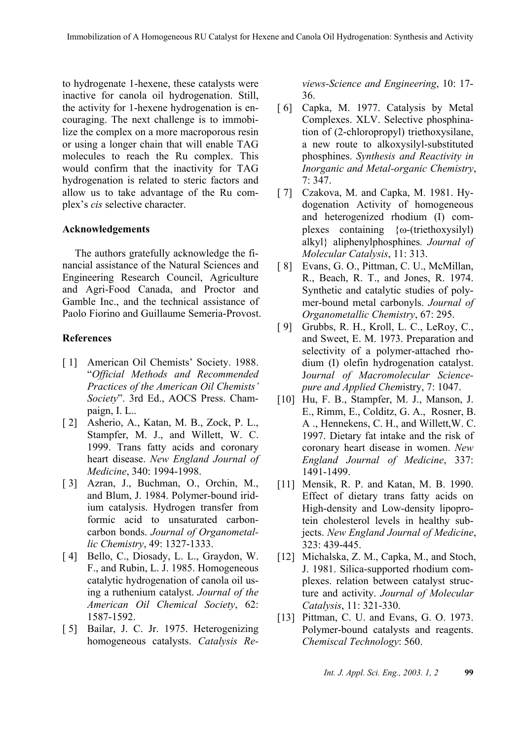to hydrogenate 1-hexene, these catalysts were inactive for canola oil hydrogenation. Still, the activity for 1-hexene hydrogenation is encouraging. The next challenge is to immobilize the complex on a more macroporous resin or using a longer chain that will enable TAG molecules to reach the Ru complex. This would confirm that the inactivity for TAG hydrogenation is related to steric factors and allow us to take advantage of the Ru complex's *cis* selective character.

#### **Acknowledgements**

The authors gratefully acknowledge the financial assistance of the Natural Sciences and Engineering Research Council, Agriculture and Agri-Food Canada, and Proctor and Gamble Inc., and the technical assistance of Paolo Fiorino and Guillaume Semeria-Provost.

#### **References**

- [1] American Oil Chemists' Society. 1988. "*Official Methods and Recommended Practices of the American Oil Chemists' Society*". 3rd Ed., AOCS Press. Champaign, I. L..
- [ 2] Asherio, A., Katan, M. B., Zock, P. L., Stampfer, M. J., and Willett, W. C. 1999. Trans fatty acids and coronary heart disease. *New England Journal of Medicine*, 340: 1994-1998.
- [ 3] Azran, J., Buchman, O., Orchin, M., and Blum, J. 1984. Polymer-bound iridium catalysis. Hydrogen transfer from formic acid to unsaturated carboncarbon bonds. *Journal of Organometallic Chemistry*, 49: 1327-1333.
- [4] Bello, C., Diosady, L. L., Graydon, W. F., and Rubin, L. J. 1985. Homogeneous catalytic hydrogenation of canola oil using a ruthenium catalyst. *Journal of the American Oil Chemical Society*, 62: 1587-1592.
- [ 5] Bailar, J. C. Jr. 1975. Heterogenizing homogeneous catalysts. *Catalysis Re-*

*views-Science and Engineering*, 10: 17- 36.

- [ 6] Capka, M. 1977. Catalysis by Metal Complexes. XLV. Selective phosphination of (2-chloropropyl) triethoxysilane, a new route to alkoxysilyl-substituted phosphines. *Synthesis and Reactivity in Inorganic and Metal-organic Chemistry*, 7: 347.
- [ 7] Czakova, M. and Capka, M. 1981. Hydogenation Activity of homogeneous and heterogenized rhodium (I) complexes containing {ω-(triethoxysilyl) alkyl} aliphenylphosphines*. Journal of Molecular Catalysis*, 11: 313.
- [8] Evans, G. O., Pittman, C. U., McMillan, R., Beach, R. T., and Jones, R. 1974. Synthetic and catalytic studies of polymer-bound metal carbonyls. *Journal of Organometallic Chemistry*, 67: 295.
- [ 9] Grubbs, R. H., Kroll, L. C., LeRoy, C., and Sweet, E. M. 1973. Preparation and selectivity of a polymer-attached rhodium (I) olefin hydrogenation catalyst. J*ournal of Macromolecular Sciencepure and Applied Chem*istry, 7: 1047.
- [10] Hu, F. B., Stampfer, M. J., Manson, J. E., Rimm, E., Colditz, G. A., Rosner, B. A ., Hennekens, C. H., and Willett,W. C. 1997. Dietary fat intake and the risk of coronary heart disease in women. *New England Journal of Medicine*, 337: 1491-1499.
- [11] Mensik, R. P. and Katan, M. B. 1990. Effect of dietary trans fatty acids on High-density and Low-density lipoprotein cholesterol levels in healthy subjects. *New England Journal of Medicine*, 323: 439-445.
- [12] Michalska, Z. M., Capka, M., and Stoch, J. 1981. Silica-supported rhodium complexes. relation between catalyst structure and activity. *Journal of Molecular Catalysis*, 11: 321-330.
- [13] Pittman, C. U. and Evans, G. O. 1973. Polymer-bound catalysts and reagents. *Chemiscal Technology*: 560.

*Int. J. Appl. Sci. Eng., 2003. 1, 2* **99**